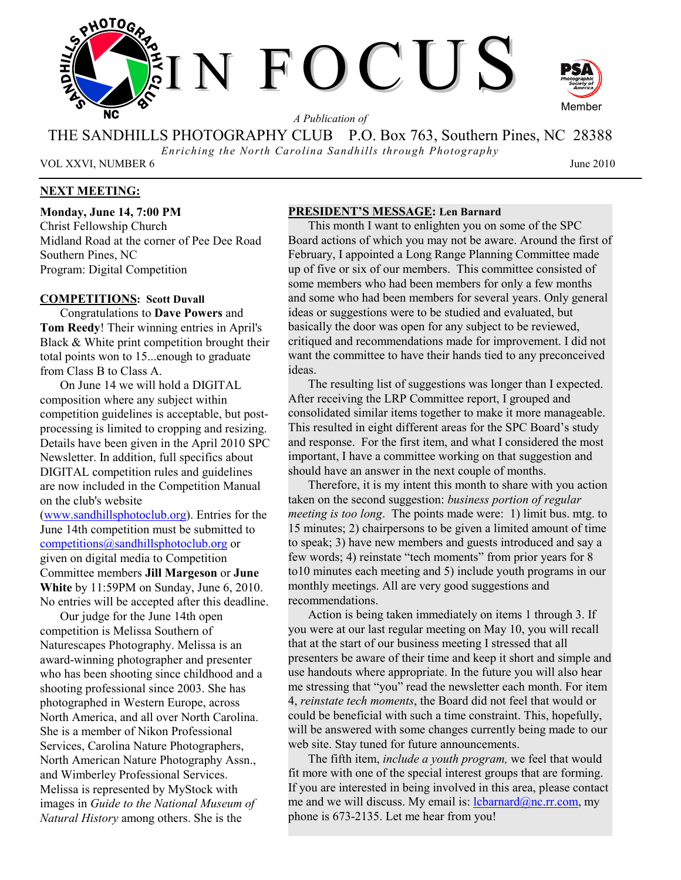

*A Publication of* 

THE SANDHILLS PHOTOGRAPHY CLUB P.O. Box 763, Southern Pines, NC 28388

*Enriching the North Carolina Sandhills through Photography* 

VOL XXVI, NUMBER 6 June 2010

## **NEXT MEETING:**

**Monday, June 14, 7:00 PM**  Christ Fellowship Church Midland Road at the corner of Pee Dee Road Southern Pines, NC Program: Digital Competition

### **COMPETITIONS: Scott Duvall**

Congratulations to **Dave Powers** and **Tom Reedy**! Their winning entries in April's Black & White print competition brought their total points won to 15...enough to graduate from Class B to Class A.

On June 14 we will hold a DIGITAL composition where any subject within competition guidelines is acceptable, but postprocessing is limited to cropping and resizing. Details have been given in the April 2010 SPC Newsletter. In addition, full specifics about DIGITAL competition rules and guidelines are now included in the Competition Manual on the club's website

(www.sandhillsphotoclub.org). Entries for the June 14th competition must be submitted to competitions@sandhillsphotoclub.org or given on digital media to Competition Committee members **Jill Margeson** or **June White** by 11:59PM on Sunday, June 6, 2010. No entries will be accepted after this deadline.

Our judge for the June 14th open competition is Melissa Southern of Naturescapes Photography. Melissa is an award-winning photographer and presenter who has been shooting since childhood and a shooting professional since 2003. She has photographed in Western Europe, across North America, and all over North Carolina. She is a member of Nikon Professional Services, Carolina Nature Photographers, North American Nature Photography Assn., and Wimberley Professional Services. Melissa is represented by MyStock with images in *Guide to the National Museum of Natural History* among others. She is the

#### **PRESIDENT'S MESSAGE: Len Barnard**

This month I want to enlighten you on some of the SPC Board actions of which you may not be aware. Around the first of February, I appointed a Long Range Planning Committee made up of five or six of our members. This committee consisted of some members who had been members for only a few months and some who had been members for several years. Only general ideas or suggestions were to be studied and evaluated, but basically the door was open for any subject to be reviewed, critiqued and recommendations made for improvement. I did not want the committee to have their hands tied to any preconceived ideas.

The resulting list of suggestions was longer than I expected. After receiving the LRP Committee report, I grouped and consolidated similar items together to make it more manageable. This resulted in eight different areas for the SPC Board's study and response. For the first item, and what I considered the most important, I have a committee working on that suggestion and should have an answer in the next couple of months.

Therefore, it is my intent this month to share with you action taken on the second suggestion: *business portion of regular meeting is too long*. The points made were: 1) limit bus. mtg. to 15 minutes; 2) chairpersons to be given a limited amount of time to speak; 3) have new members and guests introduced and say a few words; 4) reinstate "tech moments" from prior years for 8 to10 minutes each meeting and 5) include youth programs in our monthly meetings. All are very good suggestions and recommendations.

Action is being taken immediately on items 1 through 3. If you were at our last regular meeting on May 10, you will recall that at the start of our business meeting I stressed that all presenters be aware of their time and keep it short and simple and use handouts where appropriate. In the future you will also hear me stressing that "you" read the newsletter each month. For item 4, *reinstate tech moments*, the Board did not feel that would or could be beneficial with such a time constraint. This, hopefully, will be answered with some changes currently being made to our web site. Stay tuned for future announcements.

The fifth item, *include a youth program,* we feel that would fit more with one of the special interest groups that are forming. If you are interested in being involved in this area, please contact me and we will discuss. My email is:  $lcbarnard@nc.rr.com$ , my phone is 673-2135. Let me hear from you!

Member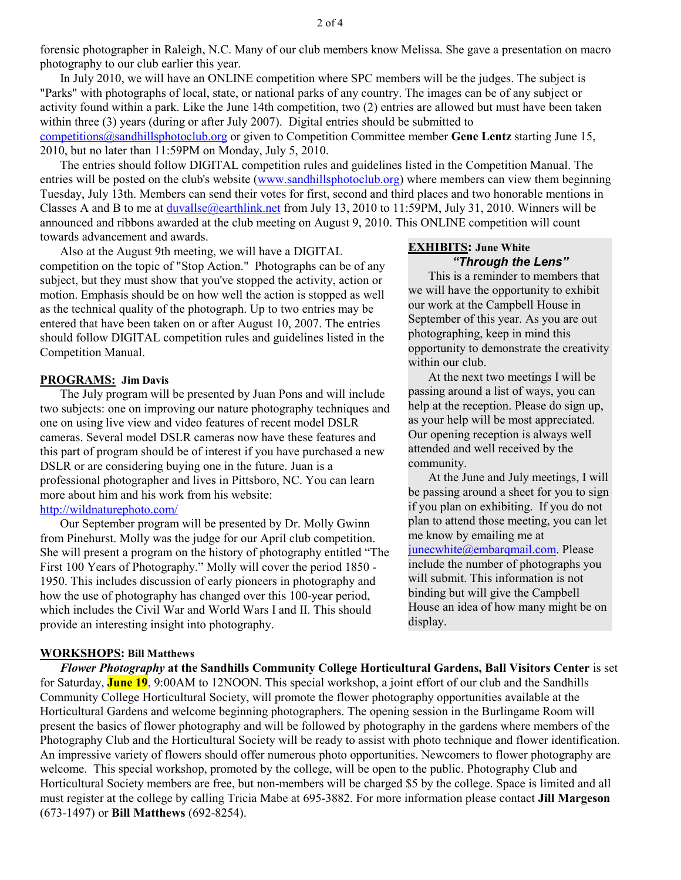forensic photographer in Raleigh, N.C. Many of our club members know Melissa. She gave a presentation on macro photography to our club earlier this year.

In July 2010, we will have an ONLINE competition where SPC members will be the judges. The subject is "Parks" with photographs of local, state, or national parks of any country. The images can be of any subject or activity found within a park. Like the June 14th competition, two (2) entries are allowed but must have been taken within three (3) years (during or after July 2007). Digital entries should be submitted to competitions@sandhillsphotoclub.org or given to Competition Committee member **Gene Lentz** starting June 15, 2010, but no later than 11:59PM on Monday, July 5, 2010.

The entries should follow DIGITAL competition rules and guidelines listed in the Competition Manual. The entries will be posted on the club's website (www.sandhillsphotoclub.org) where members can view them beginning Tuesday, July 13th. Members can send their votes for first, second and third places and two honorable mentions in Classes A and B to me at duvallse@earthlink.net from July 13, 2010 to 11:59PM, July 31, 2010. Winners will be announced and ribbons awarded at the club meeting on August 9, 2010. This ONLINE competition will count towards advancement and awards.

Also at the August 9th meeting, we will have a DIGITAL competition on the topic of "Stop Action." Photographs can be of any subject, but they must show that you've stopped the activity, action or motion. Emphasis should be on how well the action is stopped as well as the technical quality of the photograph. Up to two entries may be entered that have been taken on or after August 10, 2007. The entries should follow DIGITAL competition rules and guidelines listed in the Competition Manual.

#### **PROGRAMS: Jim Davis**

The July program will be presented by Juan Pons and will include two subjects: one on improving our nature photography techniques and one on using live view and video features of recent model DSLR cameras. Several model DSLR cameras now have these features and this part of program should be of interest if you have purchased a new DSLR or are considering buying one in the future. Juan is a professional photographer and lives in Pittsboro, NC. You can learn more about him and his work from his website: http://wildnaturephoto.com/

Our September program will be presented by Dr. Molly Gwinn from Pinehurst. Molly was the judge for our April club competition. She will present a program on the history of photography entitled "The First 100 Years of Photography." Molly will cover the period 1850 - 1950. This includes discussion of early pioneers in photography and how the use of photography has changed over this 100-year period, which includes the Civil War and World Wars I and II. This should provide an interesting insight into photography.

### **WORKSHOPS: Bill Matthews**

### **EXHIBITS: June White**  *"Through the Lens"*

This is a reminder to members that we will have the opportunity to exhibit our work at the Campbell House in September of this year. As you are out photographing, keep in mind this opportunity to demonstrate the creativity within our club.

At the next two meetings I will be passing around a list of ways, you can help at the reception. Please do sign up, as your help will be most appreciated. Our opening reception is always well attended and well received by the community.

At the June and July meetings, I will be passing around a sheet for you to sign if you plan on exhibiting. If you do not plan to attend those meeting, you can let me know by emailing me at junecwhite@embarqmail.com. Please include the number of photographs you will submit. This information is not binding but will give the Campbell House an idea of how many might be on display.

*Flower Photography* **at the Sandhills Community College Horticultural Gardens, Ball Visitors Center** is set for Saturday, **June 19**, 9:00AM to 12NOON. This special workshop, a joint effort of our club and the Sandhills Community College Horticultural Society, will promote the flower photography opportunities available at the Horticultural Gardens and welcome beginning photographers. The opening session in the Burlingame Room will present the basics of flower photography and will be followed by photography in the gardens where members of the Photography Club and the Horticultural Society will be ready to assist with photo technique and flower identification. An impressive variety of flowers should offer numerous photo opportunities. Newcomers to flower photography are welcome. This special workshop, promoted by the college, will be open to the public. Photography Club and Horticultural Society members are free, but non-members will be charged \$5 by the college. Space is limited and all must register at the college by calling Tricia Mabe at 695-3882. For more information please contact **Jill Margeson** (673-1497) or **Bill Matthews** (692-8254).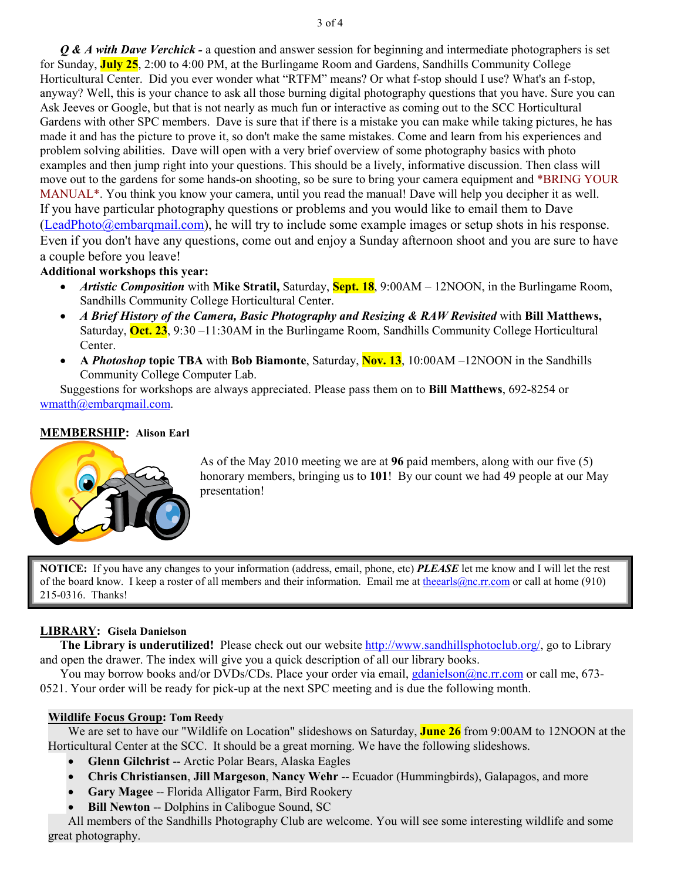*Q & A with Dave Verchick -* a question and answer session for beginning and intermediate photographers is set for Sunday, **July 25**, 2:00 to 4:00 PM, at the Burlingame Room and Gardens, Sandhills Community College Horticultural Center. Did you ever wonder what "RTFM" means? Or what f-stop should I use? What's an f-stop, anyway? Well, this is your chance to ask all those burning digital photography questions that you have. Sure you can Ask Jeeves or Google, but that is not nearly as much fun or interactive as coming out to the SCC Horticultural Gardens with other SPC members. Dave is sure that if there is a mistake you can make while taking pictures, he has made it and has the picture to prove it, so don't make the same mistakes. Come and learn from his experiences and problem solving abilities. Dave will open with a very brief overview of some photography basics with photo examples and then jump right into your questions. This should be a lively, informative discussion. Then class will move out to the gardens for some hands-on shooting, so be sure to bring your camera equipment and \*BRING YOUR MANUAL\*. You think you know your camera, until you read the manual! Dave will help you decipher it as well. If you have particular photography questions or problems and you would like to email them to Dave (LeadPhoto@embarqmail.com), he will try to include some example images or setup shots in his response. Even if you don't have any questions, come out and enjoy a Sunday afternoon shoot and you are sure to have a couple before you leave!

## **Additional workshops this year:**

- *Artistic Composition* with Mike Stratil, Saturday, **Sept. 18**, 9:00AM 12NOON, in the Burlingame Room, Sandhills Community College Horticultural Center.
- *A Brief History of the Camera, Basic Photography and Resizing & RAW Revisited* with **Bill Matthews,**  Saturday, **Oct. 23**, 9:30 –11:30AM in the Burlingame Room, Sandhills Community College Horticultural Center.
- **A** *Photoshop* **topic TBA** with **Bob Biamonte**, Saturday, **Nov. 13**, 10:00AM –12NOON in the Sandhills Community College Computer Lab.

Suggestions for workshops are always appreciated. Please pass them on to **Bill Matthews**, 692-8254 or wmatth@embarqmail.com.

## **MEMBERSHIP: Alison Earl**



As of the May 2010 meeting we are at **96** paid members, along with our five (5) honorary members, bringing us to **101**! By our count we had 49 people at our May presentation!

**NOTICE:** If you have any changes to your information (address, email, phone, etc) *PLEASE* let me know and I will let the rest of the board know. I keep a roster of all members and their information. Email me at the earls  $@nc.rr.com$  or call at home (910) 215-0316. Thanks!

## **LIBRARY: Gisela Danielson**

 **The Library is underutilized!** Please check out our website http://www.sandhillsphotoclub.org/, go to Library and open the drawer. The index will give you a quick description of all our library books.

 You may borrow books and/or DVDs/CDs. Place your order via email, gdanielson@nc.rr.com or call me, 673- 0521. Your order will be ready for pick-up at the next SPC meeting and is due the following month.

## **Wildlife Focus Group: Tom Reedy**

We are set to have our "Wildlife on Location" slideshows on Saturday, **June 26** from 9:00AM to 12NOON at the Horticultural Center at the SCC. It should be a great morning. We have the following slideshows.

- **Glenn Gilchrist** -- Arctic Polar Bears, Alaska Eagles
- **Chris Christiansen**, **Jill Margeson**, **Nancy Wehr** -- Ecuador (Hummingbirds), Galapagos, and more
- **Gary Magee** -- Florida Alligator Farm, Bird Rookery
- **Bill Newton** -- Dolphins in Calibogue Sound, SC

All members of the Sandhills Photography Club are welcome. You will see some interesting wildlife and some great photography.